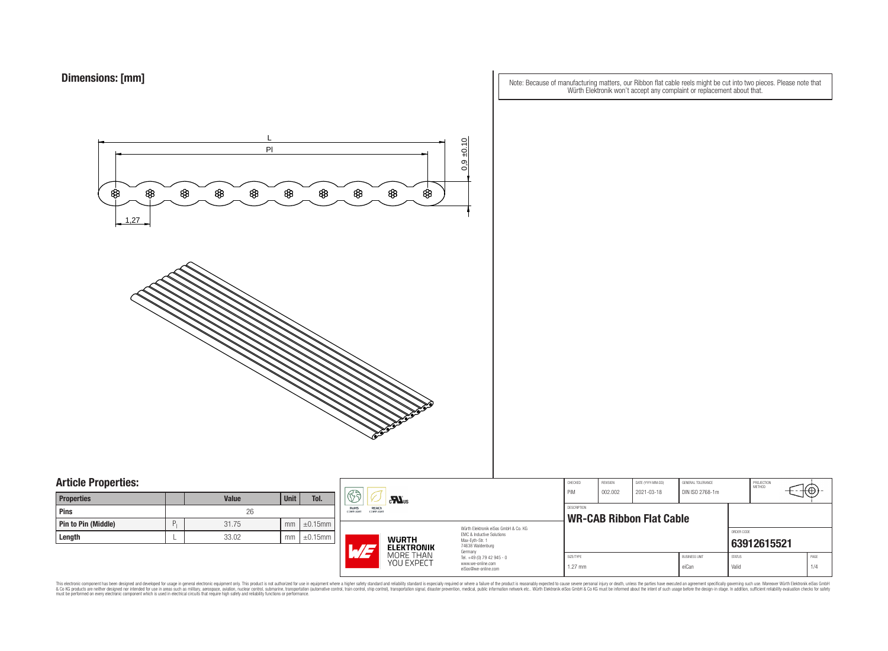| Note: Because of manufacturing matters, our Ribbon flat cable reels might be cut into two pieces. Please note that |  |
|--------------------------------------------------------------------------------------------------------------------|--|
| Würth Elektronik won't accept any complaint or replacement about that.                                             |  |



## **Article Properties:**

| <b>Properties</b>   |    | <b>Value</b> | <b>Unit</b> | Tol.          |
|---------------------|----|--------------|-------------|---------------|
| <b>Pins</b>         |    | 26           |             |               |
| Pin to Pin (Middle) | P. | 31.75        | mm          | $\pm 0.15$ mm |
| Length              |    | 33.02        | mm          | $\pm 0.15$ mm |

|                                    | 63<br>$\mathbf{r}$<br>REACh<br><b>RoHS</b>                                                                                            |                                              | CHECKED<br>PiM<br><b>DESCRIPTION</b>                                                                  | REVISION<br>002.002    | DATE (YYYY-MM-DD)<br>2021-03-18 | GENERAL TOLERANCE<br>DIN ISO 2768-1m |                               | PROJECTION<br>METHOD   | ιτΨ         |             |
|------------------------------------|---------------------------------------------------------------------------------------------------------------------------------------|----------------------------------------------|-------------------------------------------------------------------------------------------------------|------------------------|---------------------------------|--------------------------------------|-------------------------------|------------------------|-------------|-------------|
| $\mathop{\mathrm{imm}}$<br>.<br>mm | <b>COMPLIANT</b><br>COMPLIANT<br>Würth Elektronik eiSos GmbH & Co. KG<br>FMC & Inductive Solutions<br><b>WURTH</b><br>Max-Eyth-Str. 1 |                                              | <b>WR-CAB Ribbon Flat Cable</b>                                                                       |                        |                                 |                                      | ORDER CODE                    |                        |             |             |
|                                    | ATJ                                                                                                                                   | <b>ELEKTRONIK</b><br>MORE THAN<br>YOU EXPECT | 74638 Waldenburg<br>Germany<br>Tel. +49 (0) 79 42 945 - 0<br>www.we-online.com<br>eiSos@we-online.com | SIZE/TYPE<br>$1.27$ mm |                                 |                                      | <b>BUSINESS UNIT</b><br>eiCan | <b>STATUS</b><br>Valid | 63912615521 | PAGE<br>1/4 |

This electronic component has been designed and developed for usage in general electronic equipment only. This product is not authorized for subserved requipment where a higher selection equipment where a higher selection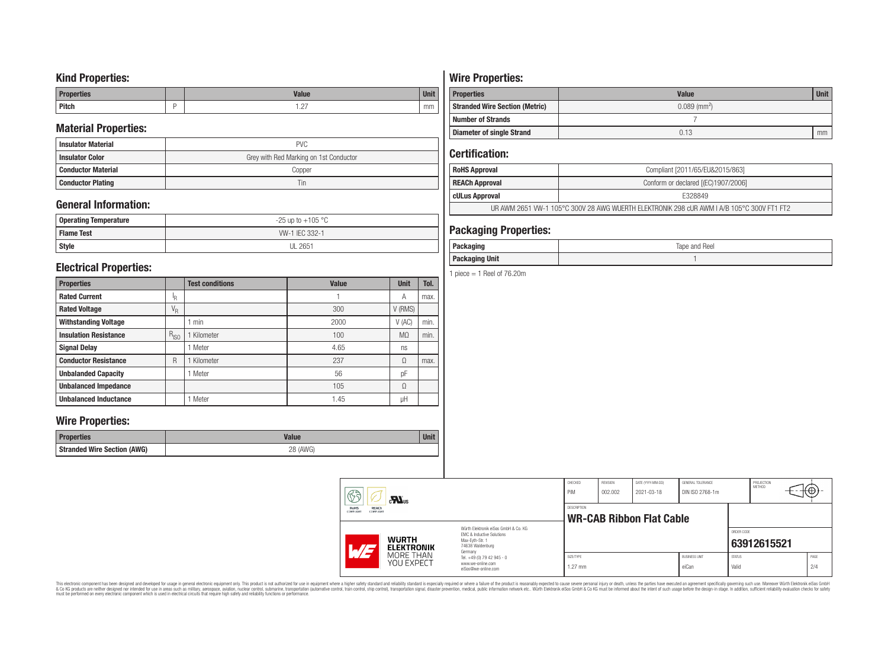### **Kind Properties:**

| <b>Properties</b> | <b>Value</b>                     | $H = 14$<br>vm |
|-------------------|----------------------------------|----------------|
| <b>Pitch</b>      | $\sim$<br>$\cdot$ $\sim$ $\cdot$ | mm             |

### **Material Properties:**

| <b>Insulator Material</b> | <b>PVC</b>                             |
|---------------------------|----------------------------------------|
| <b>Insulator Color</b>    | Grey with Red Marking on 1st Conductor |
| <b>Conductor Material</b> | Copper                                 |
| <b>Conductor Plating</b>  | Tin                                    |

## **General Information:**

| Operating Temperature | $-25$ up to $+105$ °C |
|-----------------------|-----------------------|
| <b>Flame Test</b>     | W-1 IEC 332-1         |
| <b>Style</b>          | <b>UL 2651</b>        |

### **Electrical Properties:**

| <b>Properties</b>            |                           | <b>Test conditions</b> | <b>Value</b> | <b>Unit</b>    | Tol. |
|------------------------------|---------------------------|------------------------|--------------|----------------|------|
| <b>Rated Current</b>         |                           |                        |              | Α              | max. |
| <b>Rated Voltage</b>         | $\mathrm{V}_{\mathrm{R}}$ |                        | 300          | V (RMS)        |      |
| <b>Withstanding Voltage</b>  |                           | min                    | 2000         | V(AC)          | min. |
| <b>Insulation Resistance</b> |                           | Kilometer              | 100          | M <sub>0</sub> | min. |
| <b>Signal Delay</b>          |                           | Meter                  | 4.65         | ns             |      |
| <b>Conductor Resistance</b>  |                           | Kilometer              | 237          | Ω              | max. |
| <b>Unbalanded Capacity</b>   |                           | Meter                  | 56           | pF             |      |
| <b>Unbalanced Impedance</b>  |                           |                        | 105          | Ω              |      |
| <b>Unbalanced Inductance</b> |                           | Meter                  | 1.45         | μH             |      |

### **Wire Properties:**

| Properties                         | <b>Valut</b>   | <b>Unit</b> |
|------------------------------------|----------------|-------------|
| <b>Stranded Wire Section (AWG)</b> | 28 (AWG)<br>∠∪ |             |

# **Wire Properties:**

| <b>Properties</b>                     | <b>Value</b>               | <b>Unit</b> |
|---------------------------------------|----------------------------|-------------|
| <b>Stranded Wire Section (Metric)</b> | $0.089$ (mm <sup>2</sup> ) |             |
| <b>Number of Strands</b>              |                            |             |
| <b>Diameter of single Strand</b>      | 0.13                       | mm          |

## **Certification:**

| <b>RoHS Approval</b>  | Compliant [2011/65/EU&2015/863]                                                           |
|-----------------------|-------------------------------------------------------------------------------------------|
| <b>REACh Approval</b> | Conform or declared [(EC)1907/2006]                                                       |
| cULus Approval        | E328849                                                                                   |
|                       | UR AWM 2651 VW-1 105°C 300V 28 AWG WUERTH ELEKTRONIK 298 cUR AWM I A/B 105°C 300V FT1 FT2 |

### **Packaging Properties:**

| Doo<br>.<br>ackayılıy                     | Tape and Reel |
|-------------------------------------------|---------------|
| <b>Packaging Unit</b><br><b>Packaging</b> |               |

1 piece  $=$  1 Reel of 76.20m

| $\circledS$                                                  | $\mathbf{M}_{\text{us}}$          |                                                                                                                     | CHECKED<br>PiM         | REVISION<br>002.002 | DATE (YYYY-MM-DD)<br>2021-03-18 | GENERAL TOLERANCE<br>DIN ISO 2768-1m |                        | PROJECTION<br><b>METHOD</b> | √⊕√         |
|--------------------------------------------------------------|-----------------------------------|---------------------------------------------------------------------------------------------------------------------|------------------------|---------------------|---------------------------------|--------------------------------------|------------------------|-----------------------------|-------------|
| <b>REACh</b><br>RoHS<br><b>COMPLIANT</b><br><b>COMPLIANT</b> |                                   |                                                                                                                     | DESCRIPTION            |                     | <b>WR-CAB Ribbon Flat Cable</b> |                                      |                        |                             |             |
| L/E                                                          | <b>WURTH</b><br><b>ELEKTRONIK</b> | Würth Elektronik eiSos GmbH & Co. KG<br>EMC & Inductive Solutions<br>Max-Evth-Str. 1<br>74638 Waldenburg<br>Germany |                        |                     |                                 |                                      | ORDER CODE             | 63912615521                 |             |
|                                                              | MORE THAN<br>YOU EXPECT           | Tel. +49 (0) 79 42 945 - 0<br>www.we-online.com<br>eiSos@we-online.com                                              | SIZE/TYPE<br>$1.27$ mm |                     |                                 | <b>BUSINESS UNIT</b><br>eiCan        | <b>STATUS</b><br>Valid |                             | PAGE<br>2/4 |

This electronic component has been designed and developed for usage in general electronic equipment only. This product is not authorized for subserved requipment where a higher selection equipment where a higher selection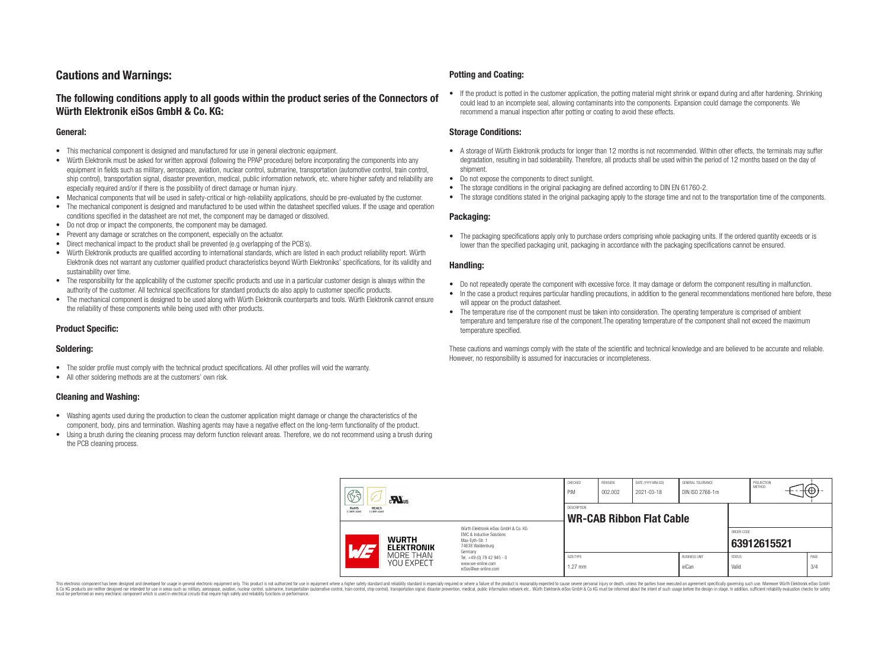## **Cautions and Warnings:**

### **The following conditions apply to all goods within the product series of the Connectors of Würth Elektronik eiSos GmbH & Co. KG:**

#### **General:**

- This mechanical component is designed and manufactured for use in general electronic equipment.
- Würth Elektronik must be asked for written approval (following the PPAP procedure) before incorporating the components into any equipment in fields such as military, aerospace, aviation, nuclear control, submarine, transportation (automotive control, train control, ship control), transportation signal, disaster prevention, medical, public information network, etc. where higher safety and reliability are especially required and/or if there is the possibility of direct damage or human injury.
- Mechanical components that will be used in safety-critical or high-reliability applications, should be pre-evaluated by the customer.
- The mechanical component is designed and manufactured to be used within the datasheet specified values. If the usage and operation conditions specified in the datasheet are not met, the component may be damaged or dissolved.
- Do not drop or impact the components, the component may be damaged.
- Prevent any damage or scratches on the component, especially on the actuator.
- Direct mechanical impact to the product shall be prevented (e.g overlapping of the PCB's).
- Würth Elektronik products are qualified according to international standards, which are listed in each product reliability report. Würth Elektronik does not warrant any customer qualified product characteristics beyond Würth Elektroniks' specifications, for its validity and sustainability over time.
- The responsibility for the applicability of the customer specific products and use in a particular customer design is always within the authority of the customer. All technical specifications for standard products do also apply to customer specific products.
- The mechanical component is designed to be used along with Würth Elektronik counterparts and tools. Würth Elektronik cannot ensure the reliability of these components while being used with other products.

#### **Product Specific:**

#### **Soldering:**

- The solder profile must comply with the technical product specifications. All other profiles will void the warranty.
- All other soldering methods are at the customers' own risk.

#### **Cleaning and Washing:**

- Washing agents used during the production to clean the customer application might damage or change the characteristics of the component, body, pins and termination. Washing agents may have a negative effect on the long-term functionality of the product.
- Using a brush during the cleaning process may deform function relevant areas. Therefore, we do not recommend using a brush during the PCB cleaning process.

#### **Potting and Coating:**

• If the product is potted in the customer application, the potting material might shrink or expand during and after hardening. Shrinking could lead to an incomplete seal, allowing contaminants into the components. Expansion could damage the components. We recommend a manual inspection after potting or coating to avoid these effects.

#### **Storage Conditions:**

- A storage of Würth Elektronik products for longer than 12 months is not recommended. Within other effects, the terminals may suffer degradation, resulting in bad solderability. Therefore, all products shall be used within the period of 12 months based on the day of shipment.
- Do not expose the components to direct sunlight.
- The storage conditions in the original packaging are defined according to DIN EN 61760-2.
- The storage conditions stated in the original packaging apply to the storage time and not to the transportation time of the components.

#### **Packaging:**

• The packaging specifications apply only to purchase orders comprising whole packaging units. If the ordered quantity exceeds or is lower than the specified packaging unit, packaging in accordance with the packaging specifications cannot be ensured.

#### **Handling:**

- Do not repeatedly operate the component with excessive force. It may damage or deform the component resulting in malfunction.
- In the case a product requires particular handling precautions, in addition to the general recommendations mentioned here before, these will appear on the product datasheet
- The temperature rise of the component must be taken into consideration. The operating temperature is comprised of ambient temperature and temperature rise of the component.The operating temperature of the component shall not exceed the maximum temperature specified.

These cautions and warnings comply with the state of the scientific and technical knowledge and are believed to be accurate and reliable. However, no responsibility is assumed for inaccuracies or incompleteness.

| 63<br>$\mathbf{M}_{\text{us}}$<br><b>RoHS</b><br><b>REACh</b><br><b>COMPLIANT</b><br>COMPLIANT |                                   |                                                                                                                     | CHECKED<br>PiM                                        | <b>REVISION</b><br>002.002 | DATE (YYYY-MM-DD)<br>2021-03-18 | GENERAL TOLERANCE<br>DIN ISO 2768-1m |                        | PROJECTION<br><b>METHOD</b> | €⊕∶         |
|------------------------------------------------------------------------------------------------|-----------------------------------|---------------------------------------------------------------------------------------------------------------------|-------------------------------------------------------|----------------------------|---------------------------------|--------------------------------------|------------------------|-----------------------------|-------------|
|                                                                                                |                                   |                                                                                                                     | <b>DESCRIPTION</b><br><b>WR-CAB Ribbon Flat Cable</b> |                            |                                 |                                      |                        |                             |             |
| ATZ                                                                                            | <b>WURTH</b><br><b>ELEKTRONIK</b> | Würth Flektronik eiSos GmbH & Co. KG<br>EMC & Inductive Solutions<br>Max-Evth-Str. 1<br>74638 Waldenburg<br>Germany |                                                       |                            |                                 |                                      | ORDER CODE             | 63912615521                 |             |
|                                                                                                | MORE THAN<br><b>YOU EXPECT</b>    | Tel. +49 (0) 79 42 945 - 0<br>www.we-online.com<br>eiSos@we-online.com                                              | SIZE/TYPE<br>$1.27$ mm                                |                            |                                 | <b>BUSINESS UNIT</b><br>eiCan        | <b>STATUS</b><br>Valid |                             | PAGE<br>3/4 |

This electronic component has been designed and developed for usage in general electronic equipment only. This product is not authorized for use in equipment where a higher safety standard and reliability standard si espec & Ook product a label and the membed of the seasuch as marked and as which such a membed and the such assume that income in the seasuch and the simulation and the such assume that include to the such a membed and the such